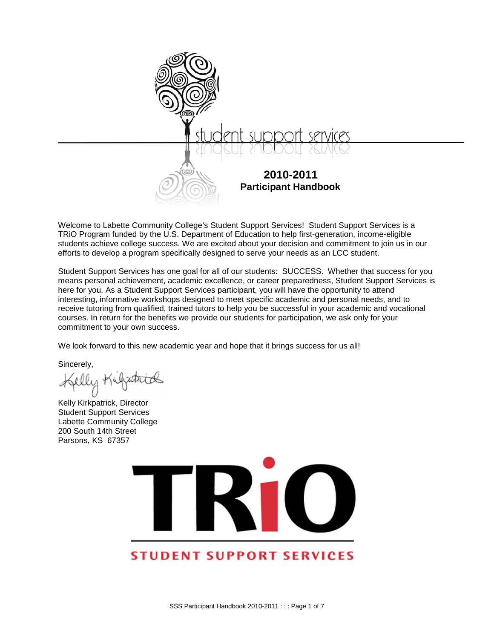

Welcome to Labette Community College's Student Support Services! Student Support Services is a TRiO Program funded by the U.S. Department of Education to help first-generation, income-eligible students achieve college success. We are excited about your decision and commitment to join us in our efforts to develop a program specifically designed to serve your needs as an LCC student.

Student Support Services has one goal for all of our students: SUCCESS. Whether that success for you means personal achievement, academic excellence, or career preparedness, Student Support Services is here for you. As a Student Support Services participant, you will have the opportunity to attend interesting, informative workshops designed to meet specific academic and personal needs, and to receive tutoring from qualified, trained tutors to help you be successful in your academic and vocational courses. In return for the benefits we provide our students for participation, we ask only for your commitment to your own success.

<span id="page-0-0"></span>We look forward to this new academic year and hope that it brings success for us all!

Sincerely,

Kelly Kirkpatrick, Director Student Support Services Labette Community College 200 South 14th Street Parsons, KS 67357



# **STUDENT SUPPORT SERVICES**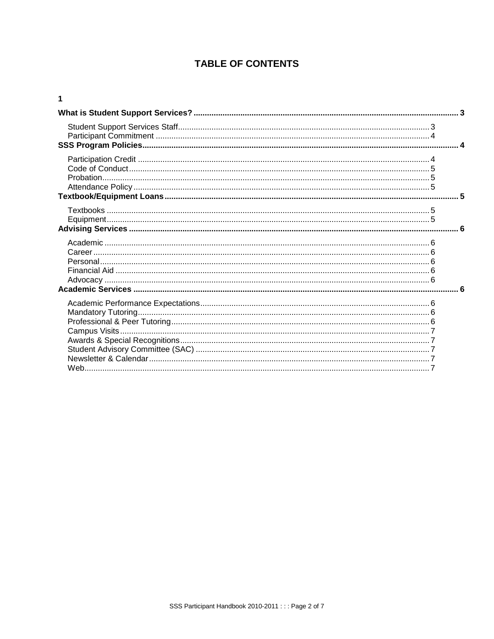# **TABLE OF CONTENTS**

#### $\overline{1}$

| $\mathbf{3}$ |
|--------------|
|              |
|              |
|              |
|              |
|              |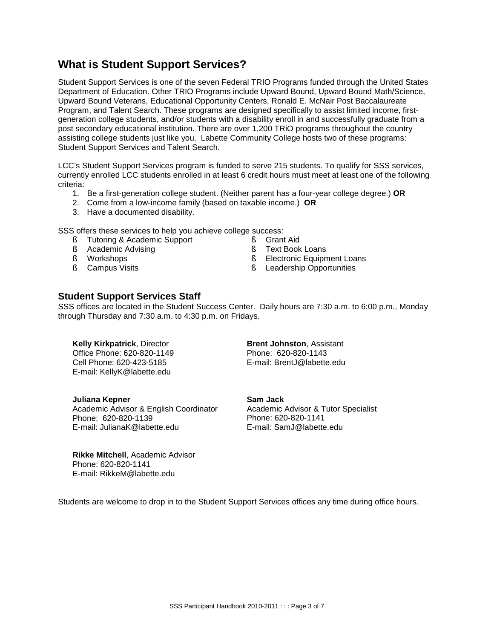# <span id="page-2-0"></span>**What is Student Support Services?**

Student Support Services is one of the seven Federal TRIO Programs funded through the United States Department of Education. Other TRIO Programs include Upward Bound, Upward Bound Math/Science, Upward Bound Veterans, Educational Opportunity Centers, Ronald E. McNair Post Baccalaureate Program, and Talent Search. These programs are designed specifically to assist limited income, firstgeneration college students, and/or students with a disability enroll in and successfully graduate from a post secondary educational institution. There are over 1,200 TRiO programs throughout the country assisting college students just like you. Labette Community College hosts two of these programs: Student Support Services and Talent Search.

LCC's Student Support Services program is funded to serve 215 students. To qualify for SSS services, currently enrolled LCC students enrolled in at least 6 credit hours must meet at least one of the following criteria:

- 1. Be a first-generation college student. (Neither parent has a four-year college degree.) **OR**
- 2. Come from a low-income family (based on taxable income.) **OR**
- 3. Have a documented disability.

SSS offers these services to help you achieve college success:

- **§** Tutoring & Academic Support
- **§** Academic Advising
- § Workshops
- **§** Campus Visits
- § Grant Aid
- § Text Book Loans
- **§** Electronic Equipment Loans
- **§** Leadership Opportunities

#### <span id="page-2-1"></span>**Student Support Services Staff**

SSS offices are located in the Student Success Center. Daily hours are 7:30 a.m. to 6:00 p.m., Monday through Thursday and 7:30 a.m. to 4:30 p.m. on Fridays.

**Kelly Kirkpatrick**, Director Office Phone: 620-820-1149 Cell Phone: 620-423-5185 E-mail: KellyK@labette.edu

**Brent Johnston**, Assistant Phone: 620-820-1143 E-mail: BrentJ@labette.edu

**Juliana Kepner** Academic Advisor & English Coordinator Phone: 620-820-1139 E-mail: JulianaK@labette.edu

**Sam Jack** Academic Advisor & Tutor Specialist Phone: 620-820-1141 E-mail: SamJ@labette.edu

**Rikke Mitchell**, Academic Advisor Phone: 620-820-1141 E-mail: RikkeM@labette.edu

Students are welcome to drop in to the Student Support Services offices any time during office hours.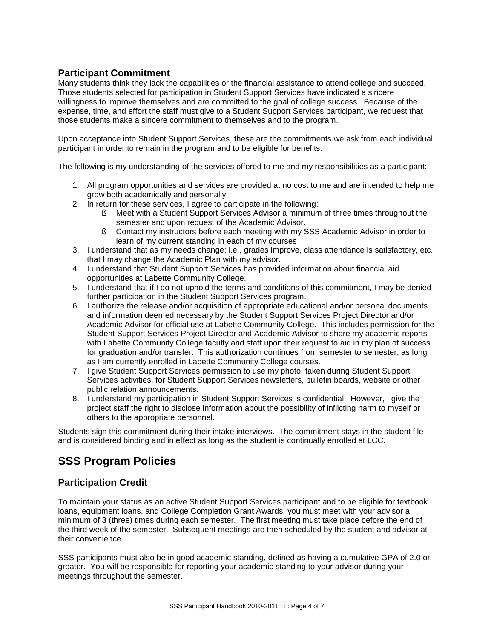## <span id="page-3-0"></span>**Participant Commitment**

Many students think they lack the capabilities or the financial assistance to attend college and succeed. Those students selected for participation in Student Support Services have indicated a sincere willingness to improve themselves and are committed to the goal of college success. Because of the expense, time, and effort the staff must give to a Student Support Services participant, we request that those students make a sincere commitment to themselves and to the program.

Upon acceptance into Student Support Services, these are the commitments we ask from each individual participant in order to remain in the program and to be eligible for benefits:

The following is my understanding of the services offered to me and my responsibilities as a participant:

- 1. All program opportunities and services are provided at no cost to me and are intended to help me grow both academically and personally.
- 2. In return for these services, I agree to participate in the following:
	- § Meet with a Student Support Services Advisor a minimum of three times throughout the semester and upon request of the Academic Advisor.
	- § Contact my instructors before each meeting with my SSS Academic Advisor in order to learn of my current standing in each of my courses
- 3. I understand that as my needs change; i.e., grades improve, class attendance is satisfactory, etc. that I may change the Academic Plan with my advisor.
- 4. I understand that Student Support Services has provided information about financial aid opportunities at Labette Community College.
- 5. I understand that if I do not uphold the terms and conditions of this commitment, I may be denied further participation in the Student Support Services program.
- 6. I authorize the release and/or acquisition of appropriate educational and/or personal documents and information deemed necessary by the Student Support Services Project Director and/or Academic Advisor for official use at Labette Community College. This includes permission for the Student Support Services Project Director and Academic Advisor to share my academic reports with Labette Community College faculty and staff upon their request to aid in my plan of success for graduation and/or transfer. This authorization continues from semester to semester, as long as I am currently enrolled in Labette Community College courses.
- 7. I give Student Support Services permission to use my photo, taken during Student Support Services activities, for Student Support Services newsletters, bulletin boards, website or other public relation announcements.
- 8. I understand my participation in Student Support Services is confidential. However, I give the project staff the right to disclose information about the possibility of inflicting harm to myself or others to the appropriate personnel.

Students sign this commitment during their intake interviews. The commitment stays in the student file and is considered binding and in effect as long as the student is continually enrolled at LCC.

# <span id="page-3-1"></span>**SSS Program Policies**

# <span id="page-3-2"></span>**Participation Credit**

To maintain your status as an active Student Support Services participant and to be eligible for textbook loans, equipment loans, and College Completion Grant Awards, you must meet with your advisor a minimum of 3 (three) times during each semester. The first meeting must take place before the end of the third week of the semester. Subsequent meetings are then scheduled by the student and advisor at their convenience.

SSS participants must also be in good academic standing, defined as having a cumulative GPA of 2.0 or greater. You will be responsible for reporting your academic standing to your advisor during your meetings throughout the semester.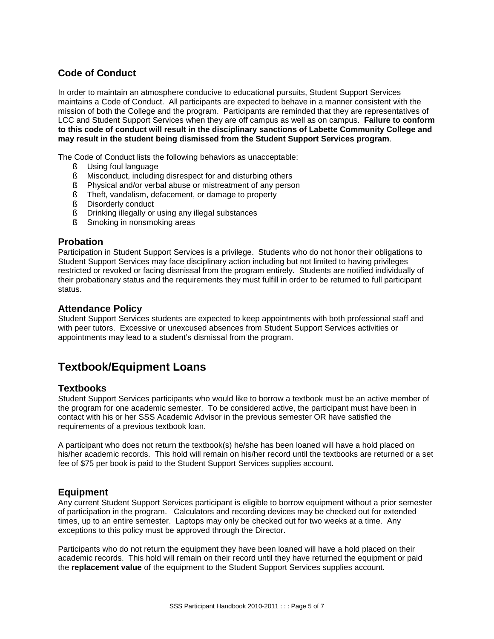## <span id="page-4-0"></span>**Code of Conduct**

In order to maintain an atmosphere conducive to educational pursuits, Student Support Services maintains a Code of Conduct. All participants are expected to behave in a manner consistent with the mission of both the College and the program. Participants are reminded that they are representatives of LCC and Student Support Services when they are off campus as well as on campus. **Failure to conform to this code of conduct will result in the disciplinary sanctions of Labette Community College and may result in the student being dismissed from the Student Support Services program**.

The Code of Conduct lists the following behaviors as unacceptable:

- § Using foul language
- § Misconduct, including disrespect for and disturbing others
- **§** Physical and/or verbal abuse or mistreatment of any person
- § Theft, vandalism, defacement, or damage to property
- **§** Disorderly conduct
- **§** Drinking illegally or using any illegal substances
- § Smoking in nonsmoking areas

#### <span id="page-4-1"></span>**Probation**

Participation in Student Support Services is a privilege. Students who do not honor their obligations to Student Support Services may face disciplinary action including but not limited to having privileges restricted or revoked or facing dismissal from the program entirely. Students are notified individually of their probationary status and the requirements they must fulfill in order to be returned to full participant status.

#### <span id="page-4-2"></span>**Attendance Policy**

Student Support Services students are expected to keep appointments with both professional staff and with peer tutors. Excessive or unexcused absences from Student Support Services activities or appointments may lead to a student's dismissal from the program.

# <span id="page-4-3"></span>**Textbook/Equipment Loans**

#### <span id="page-4-4"></span>**Textbooks**

Student Support Services participants who would like to borrow a textbook must be an active member of the program for one academic semester. To be considered active, the participant must have been in contact with his or her SSS Academic Advisor in the previous semester OR have satisfied the requirements of a previous textbook loan.

A participant who does not return the textbook(s) he/she has been loaned will have a hold placed on his/her academic records. This hold will remain on his/her record until the textbooks are returned or a set fee of \$75 per book is paid to the Student Support Services supplies account.

#### <span id="page-4-5"></span>**Equipment**

Any current Student Support Services participant is eligible to borrow equipment without a prior semester of participation in the program. Calculators and recording devices may be checked out for extended times, up to an entire semester. Laptops may only be checked out for two weeks at a time. Any exceptions to this policy must be approved through the Director.

Participants who do not return the equipment they have been loaned will have a hold placed on their academic records. This hold will remain on their record until they have returned the equipment or paid the **replacement value** of the equipment to the Student Support Services supplies account.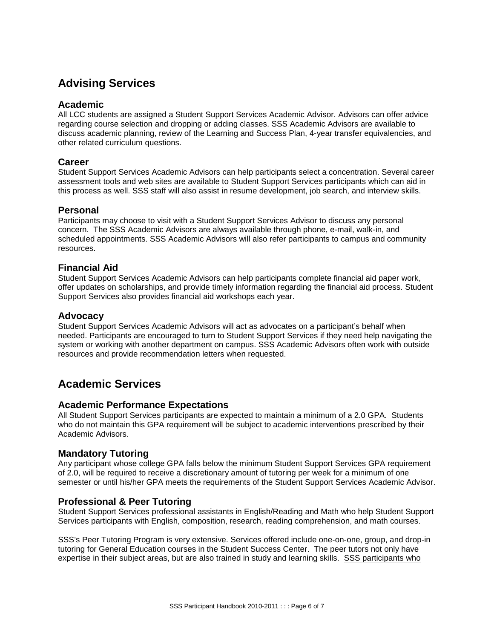# <span id="page-5-0"></span>**Advising Services**

#### <span id="page-5-1"></span>**Academic**

All LCC students are assigned a Student Support Services Academic Advisor. Advisors can offer advice regarding course selection and dropping or adding classes. SSS Academic Advisors are available to discuss academic planning, review of the Learning and Success Plan, 4-year transfer equivalencies, and other related curriculum questions.

#### <span id="page-5-2"></span>**Career**

Student Support Services Academic Advisors can help participants select a concentration. Several career assessment tools and web sites are available to Student Support Services participants which can aid in this process as well. SSS staff will also assist in resume development, job search, and interview skills.

#### <span id="page-5-3"></span>**Personal**

Participants may choose to visit with a Student Support Services Advisor to discuss any personal concern. The SSS Academic Advisors are always available through phone, e-mail, walk-in, and scheduled appointments. SSS Academic Advisors will also refer participants to campus and community resources.

#### <span id="page-5-4"></span>**Financial Aid**

Student Support Services Academic Advisors can help participants complete financial aid paper work, offer updates on scholarships, and provide timely information regarding the financial aid process. Student Support Services also provides financial aid workshops each year.

#### <span id="page-5-5"></span>**Advocacy**

Student Support Services Academic Advisors will act as advocates on a participant's behalf when needed. Participants are encouraged to turn to Student Support Services if they need help navigating the system or working with another department on campus. SSS Academic Advisors often work with outside resources and provide recommendation letters when requested.

# <span id="page-5-6"></span>**Academic Services**

### <span id="page-5-7"></span>**Academic Performance Expectations**

All Student Support Services participants are expected to maintain a minimum of a 2.0 GPA. Students who do not maintain this GPA requirement will be subject to academic interventions prescribed by their Academic Advisors.

#### <span id="page-5-8"></span>**Mandatory Tutoring**

Any participant whose college GPA falls below the minimum Student Support Services GPA requirement of 2.0, will be required to receive a discretionary amount of tutoring per week for a minimum of one semester or until his/her GPA meets the requirements of the Student Support Services Academic Advisor.

### <span id="page-5-9"></span>**Professional & Peer Tutoring**

Student Support Services professional assistants in English/Reading and Math who help Student Support Services participants with English, composition, research, reading comprehension, and math courses.

SSS's Peer Tutoring Program is very extensive. Services offered include one-on-one, group, and drop-in tutoring for General Education courses in the Student Success Center. The peer tutors not only have expertise in their subject areas, but are also trained in study and learning skills. SSS participants who